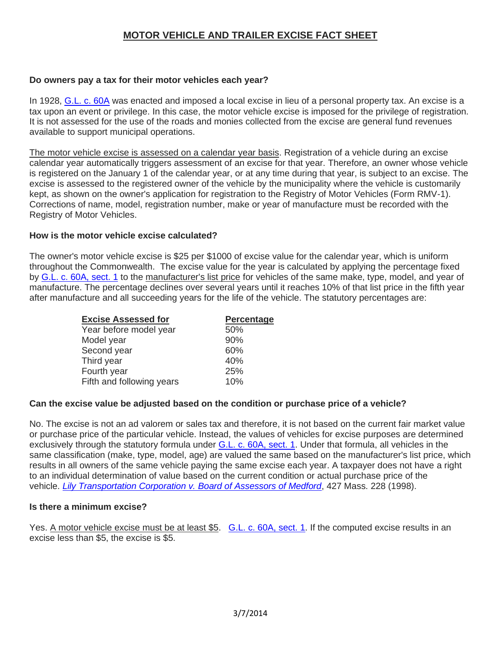# **MOTOR VEHICLE AND TRAILER EXCISE FACT SHEET**

## **Do owners pay a tax for their motor vehicles each year?**

In 1928, [G.L. c. 60A](http://dls-listserver.dor.state.ma.us/t/170887/356284/51989/2002/) was enacted and imposed a local excise in lieu of a personal property tax. An excise is a tax upon an event or privilege. In this case, the motor vehicle excise is imposed for the privilege of registration. It is not assessed for the use of the roads and monies collected from the excise are general fund revenues available to support municipal operations.

The motor vehicle excise is assessed on a calendar year basis. Registration of a vehicle during an excise calendar year automatically triggers assessment of an excise for that year. Therefore, an owner whose vehicle is registered on the January 1 of the calendar year, or at any time during that year, is subject to an excise. The excise is assessed to the registered owner of the vehicle by the municipality where the vehicle is customarily kept, as shown on the owner's application for registration to the Registry of Motor Vehicles (Form RMV-1). Corrections of name, model, registration number, make or year of manufacture must be recorded with the Registry of Motor Vehicles.

### **How is the motor vehicle excise calculated?**

The owner's motor vehicle excise is \$25 per \$1000 of excise value for the calendar year, which is uniform throughout the Commonwealth. The excise value for the year is calculated by applying the percentage fixed by [G.L. c. 60A,](http://dls-listserver.dor.state.ma.us/t/170887/356284/51991/2005/) sect. 1 to the manufacturer's list price for vehicles of the same make, type, model, and year of manufacture. The percentage declines over several years until it reaches 10% of that list price in the fifth year after manufacture and all succeeding years for the life of the vehicle. The statutory percentages are:

| <b>Excise Assessed for</b> | Percentage |
|----------------------------|------------|
| Year before model year     | 50%        |
| Model year                 | 90%        |
| Second year                | 60%        |
| Third year                 | 40%        |
| Fourth year                | 25%        |
| Fifth and following years  | 10%        |

## **Can the excise value be adjusted based on the condition or purchase price of a vehicle?**

No. The excise is not an ad valorem or sales tax and therefore, it is not based on the current fair market value or purchase price of the particular vehicle. Instead, the values of vehicles for excise purposes are determined exclusively through the statutory formula under [G.L. c. 60A,](http://dls-listserver.dor.state.ma.us/t/170887/356284/51991/3005/) sect. 1. Under that formula, all vehicles in the same classification (make, type, model, age) are valued the same based on the manufacturer's list price, which results in all owners of the same vehicle paying the same excise each year. A taxpayer does not have a right to an individual determination of value based on the current condition or actual purchase price of the vehicle. *[Lily Transportation Corporation v. Board of Assessors of Medford](http://dls-listserver.dor.state.ma.us/t/170887/356284/51992/3006/)*, 427 Mass. 228 (1998).

#### **Is there a minimum excise?**

Yes. A motor vehicle excise must be at least \$5. [G.L. c. 60A,](http://dls-listserver.dor.state.ma.us/t/170887/356284/51991/3007/) sect. 1. If the computed excise results in an excise less than \$5, the excise is \$5.